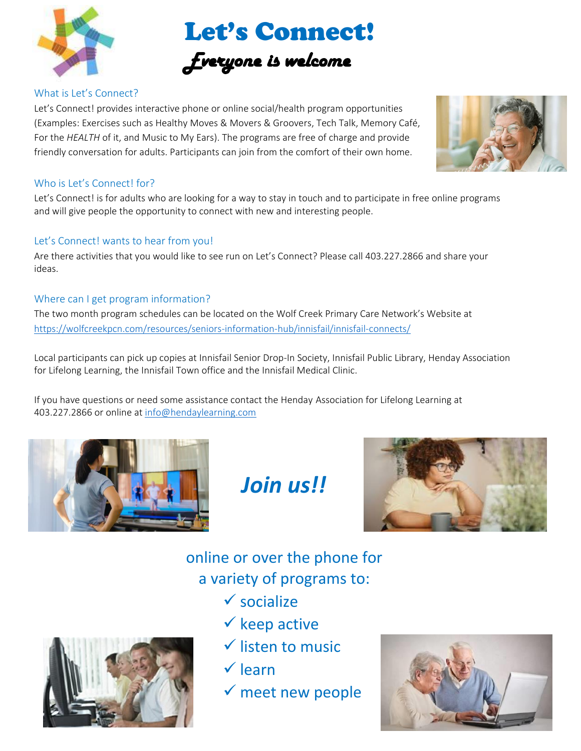

Let's Connect!

### *Everyone is welcome*

### What is Let's Connect?

Let's Connect! provides interactive phone or online social/health program opportunities (Examples: Exercises such as Healthy Moves & Movers & Groovers, Tech Talk, Memory Café, For the *HEALTH* of it, and Music to My Ears). The programs are free of charge and provide friendly conversation for adults. Participants can join from the comfort of their own home.



### Who is Let's Connect! for?

Let's Connect! is for adults who are looking for a way to stay in touch and to participate in free online programs and will give people the opportunity to connect with new and interesting people.

#### Let's Connect! wants to hear from you!

Are there activities that you would like to see run on Let's Connect? Please call 403.227.2866 and share your ideas.

#### Where can I get program information?

The two month program schedules can be located on the Wolf Creek Primary Care Network's Website at <https://wolfcreekpcn.com/resources/seniors-information-hub/innisfail/innisfail-connects/>

Local participants can pick up copies at Innisfail Senior Drop-In Society, Innisfail Public Library, Henday Association for Lifelong Learning, the Innisfail Town office and the Innisfail Medical Clinic.

If you have questions or need some assistance contact the Henday Association for Lifelong Learning at 403.227.2866 or online at [info@hendaylearning.com](mailto:info@hendaylearning.com)



## *Join us!!*



 online or over the phone for í a variety of programs to:

- $\checkmark$  socialize
- $\checkmark$  keep active
- $\checkmark$  listen to music
- $\checkmark$  learn
- $\checkmark$  meet new people